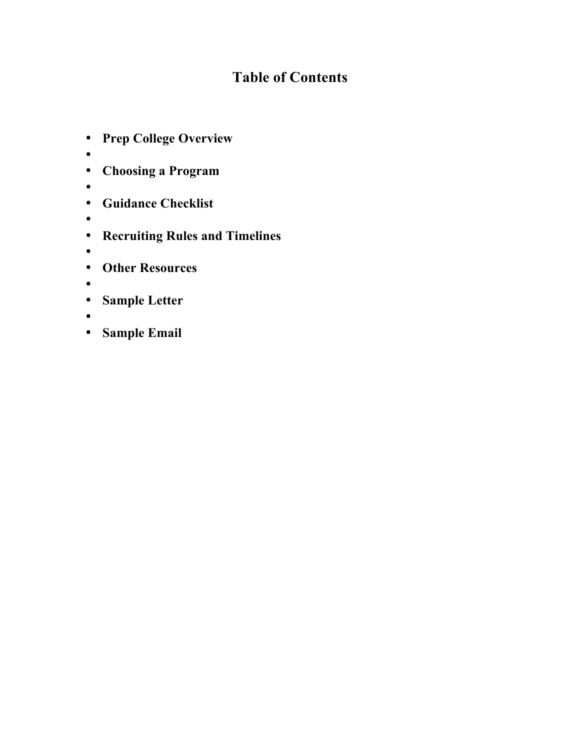# **Table of Contents**

- **Prep College Overview**
- •
- **Choosing a Program**
- •
- **Guidance Checklist**
- •
- **Recruiting Rules and Timelines**
- •
- **Other Resources**
- •
- **Sample Letter**
- •
- **Sample Email**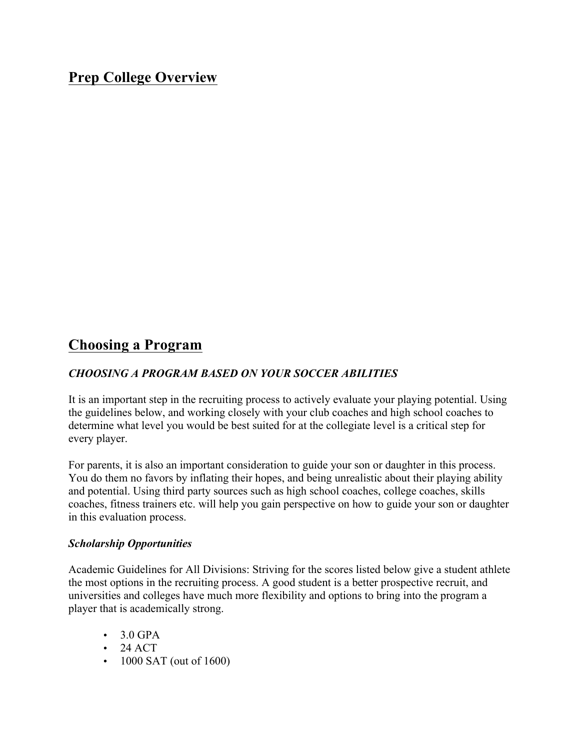## **Prep College Overview**

## **Choosing a Program**

## *CHOOSING A PROGRAM BASED ON YOUR SOCCER ABILITIES*

It is an important step in the recruiting process to actively evaluate your playing potential. Using the guidelines below, and working closely with your club coaches and high school coaches to determine what level you would be best suited for at the collegiate level is a critical step for every player.

For parents, it is also an important consideration to guide your son or daughter in this process. You do them no favors by inflating their hopes, and being unrealistic about their playing ability and potential. Using third party sources such as high school coaches, college coaches, skills coaches, fitness trainers etc. will help you gain perspective on how to guide your son or daughter in this evaluation process.

### *Scholarship Opportunities*

Academic Guidelines for All Divisions: Striving for the scores listed below give a student athlete the most options in the recruiting process. A good student is a better prospective recruit, and universities and colleges have much more flexibility and options to bring into the program a player that is academically strong.

- $\cdot$  3.0 GPA
- $\bullet$  24 ACT
- 1000 SAT (out of 1600)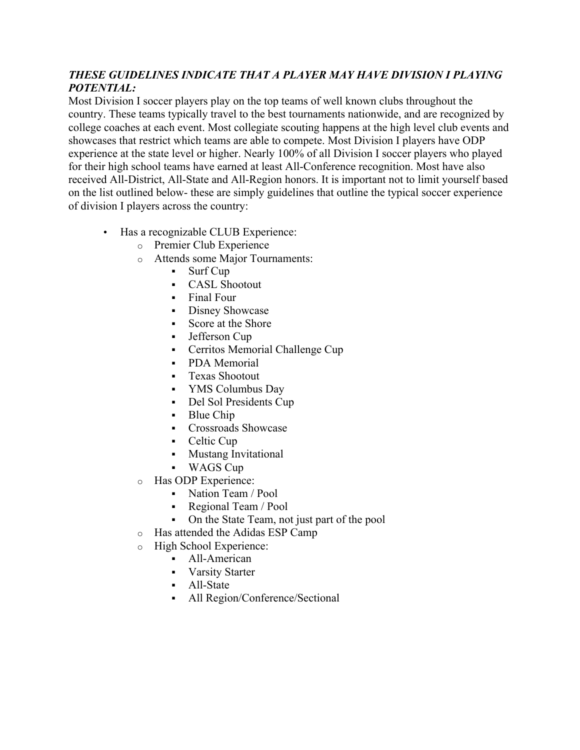## *THESE GUIDELINES INDICATE THAT A PLAYER MAY HAVE DIVISION I PLAYING POTENTIAL:*

Most Division I soccer players play on the top teams of well known clubs throughout the country. These teams typically travel to the best tournaments nationwide, and are recognized by college coaches at each event. Most collegiate scouting happens at the high level club events and showcases that restrict which teams are able to compete. Most Division I players have ODP experience at the state level or higher. Nearly 100% of all Division I soccer players who played for their high school teams have earned at least All-Conference recognition. Most have also received All-District, All-State and All-Region honors. It is important not to limit yourself based on the list outlined below- these are simply guidelines that outline the typical soccer experience of division I players across the country:

- Has a recognizable CLUB Experience:
	- o Premier Club Experience
	- o Attends some Major Tournaments:
		- § Surf Cup
		- § CASL Shootout
		- § Final Four
		- Disney Showcase
		- § Score at the Shore
		- Jefferson Cup
		- Cerritos Memorial Challenge Cup
		- PDA Memorial
		- § Texas Shootout
		- § YMS Columbus Day
		- Del Sol Presidents Cup
		- Blue Chip
		- § Crossroads Showcase
		- Celtic Cup
		- Mustang Invitational
		- § WAGS Cup
	- o Has ODP Experience:
		- Nation Team / Pool
		- § Regional Team / Pool
		- On the State Team, not just part of the pool
	- o Has attended the Adidas ESP Camp
	- o High School Experience:
		- All-American
		- Varsity Starter
		- § All-State
		- All Region/Conference/Sectional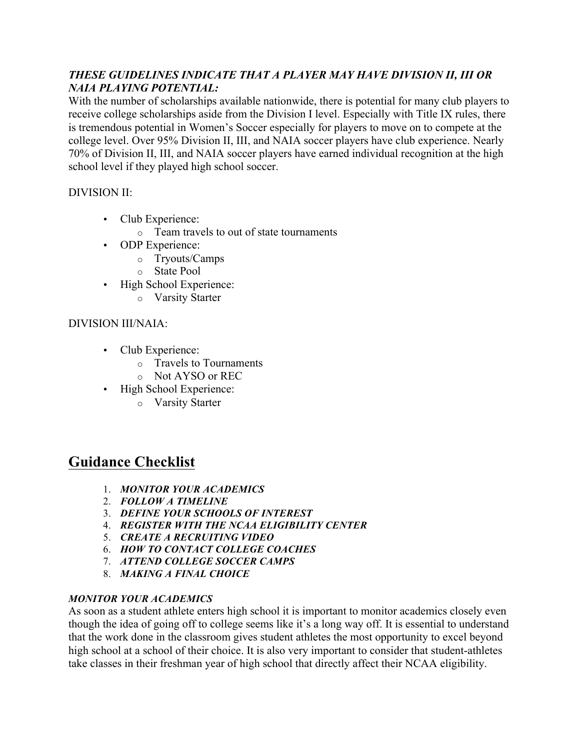## *THESE GUIDELINES INDICATE THAT A PLAYER MAY HAVE DIVISION II, III OR NAIA PLAYING POTENTIAL:*

With the number of scholarships available nationwide, there is potential for many club players to receive college scholarships aside from the Division I level. Especially with Title IX rules, there is tremendous potential in Women's Soccer especially for players to move on to compete at the college level. Over 95% Division II, III, and NAIA soccer players have club experience. Nearly 70% of Division II, III, and NAIA soccer players have earned individual recognition at the high school level if they played high school soccer.

## DIVISION II:

- Club Experience:
	- o Team travels to out of state tournaments
- ODP Experience:
	- o Tryouts/Camps
	- o State Pool
- High School Experience:
	- o Varsity Starter

## DIVISION III/NAIA:

- Club Experience:
	- o Travels to Tournaments
	- o Not AYSO or REC
- High School Experience:
	- o Varsity Starter

## **Guidance Checklist**

- 1. *MONITOR YOUR ACADEMICS*
- 2. *FOLLOW A TIMELINE*
- 3. *DEFINE YOUR SCHOOLS OF INTEREST*
- 4. *REGISTER WITH THE NCAA ELIGIBILITY CENTER*
- 5. *CREATE A RECRUITING VIDEO*
- 6. *HOW TO CONTACT COLLEGE COACHES*
- 7. *ATTEND COLLEGE SOCCER CAMPS*
- 8. *MAKING A FINAL CHOICE*

## *MONITOR YOUR ACADEMICS*

As soon as a student athlete enters high school it is important to monitor academics closely even though the idea of going off to college seems like it's a long way off. It is essential to understand that the work done in the classroom gives student athletes the most opportunity to excel beyond high school at a school of their choice. It is also very important to consider that student-athletes take classes in their freshman year of high school that directly affect their NCAA eligibility.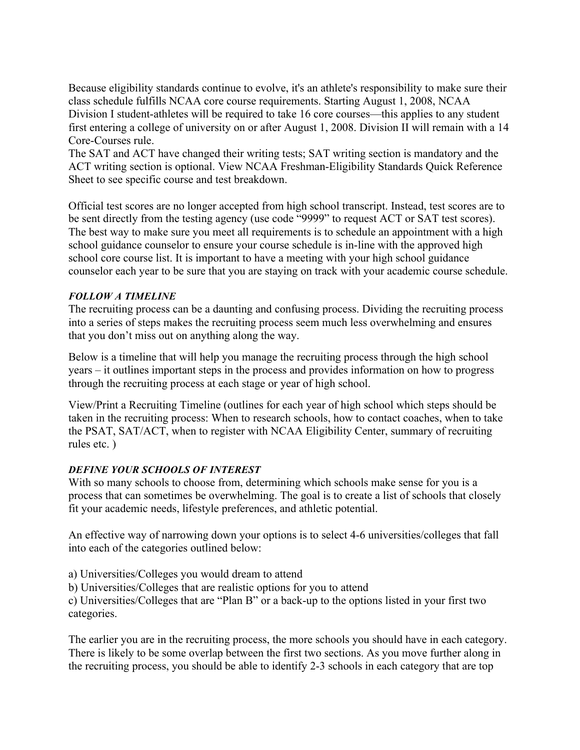Because eligibility standards continue to evolve, it's an athlete's responsibility to make sure their class schedule fulfills NCAA core course requirements. Starting August 1, 2008, NCAA Division I student-athletes will be required to take 16 core courses—this applies to any student first entering a college of university on or after August 1, 2008. Division II will remain with a 14 Core-Courses rule.

The SAT and ACT have changed their writing tests; SAT writing section is mandatory and the ACT writing section is optional. View NCAA Freshman-Eligibility Standards Quick Reference Sheet to see specific course and test breakdown.

Official test scores are no longer accepted from high school transcript. Instead, test scores are to be sent directly from the testing agency (use code "9999" to request ACT or SAT test scores). The best way to make sure you meet all requirements is to schedule an appointment with a high school guidance counselor to ensure your course schedule is in-line with the approved high school core course list. It is important to have a meeting with your high school guidance counselor each year to be sure that you are staying on track with your academic course schedule.

## *FOLLOW A TIMELINE*

The recruiting process can be a daunting and confusing process. Dividing the recruiting process into a series of steps makes the recruiting process seem much less overwhelming and ensures that you don't miss out on anything along the way.

Below is a timeline that will help you manage the recruiting process through the high school years – it outlines important steps in the process and provides information on how to progress through the recruiting process at each stage or year of high school.

View/Print a Recruiting Timeline (outlines for each year of high school which steps should be taken in the recruiting process: When to research schools, how to contact coaches, when to take the PSAT, SAT/ACT, when to register with NCAA Eligibility Center, summary of recruiting rules etc. )

### *DEFINE YOUR SCHOOLS OF INTEREST*

With so many schools to choose from, determining which schools make sense for you is a process that can sometimes be overwhelming. The goal is to create a list of schools that closely fit your academic needs, lifestyle preferences, and athletic potential.

An effective way of narrowing down your options is to select 4-6 universities/colleges that fall into each of the categories outlined below:

a) Universities/Colleges you would dream to attend

b) Universities/Colleges that are realistic options for you to attend

c) Universities/Colleges that are "Plan B" or a back-up to the options listed in your first two categories.

The earlier you are in the recruiting process, the more schools you should have in each category. There is likely to be some overlap between the first two sections. As you move further along in the recruiting process, you should be able to identify 2-3 schools in each category that are top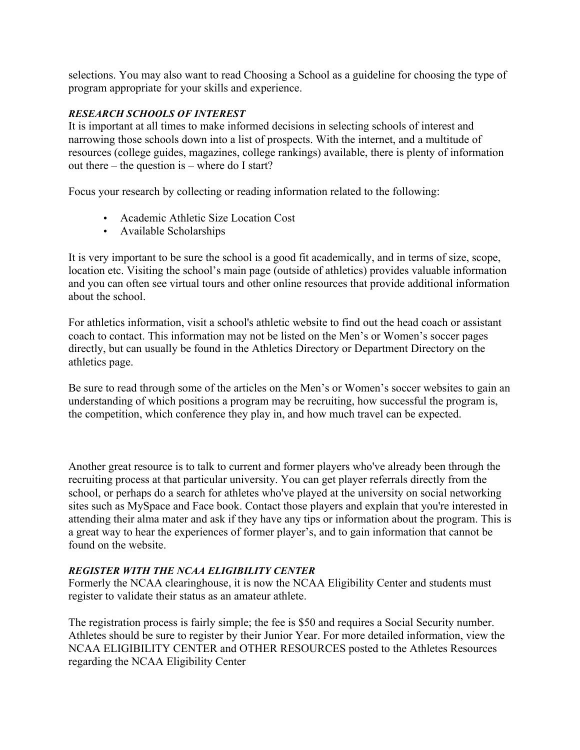selections. You may also want to read Choosing a School as a guideline for choosing the type of program appropriate for your skills and experience.

### *RESEARCH SCHOOLS OF INTEREST*

It is important at all times to make informed decisions in selecting schools of interest and narrowing those schools down into a list of prospects. With the internet, and a multitude of resources (college guides, magazines, college rankings) available, there is plenty of information out there – the question is – where do I start?

Focus your research by collecting or reading information related to the following:

- Academic Athletic Size Location Cost
- Available Scholarships

It is very important to be sure the school is a good fit academically, and in terms of size, scope, location etc. Visiting the school's main page (outside of athletics) provides valuable information and you can often see virtual tours and other online resources that provide additional information about the school.

For athletics information, visit a school's athletic website to find out the head coach or assistant coach to contact. This information may not be listed on the Men's or Women's soccer pages directly, but can usually be found in the Athletics Directory or Department Directory on the athletics page.

Be sure to read through some of the articles on the Men's or Women's soccer websites to gain an understanding of which positions a program may be recruiting, how successful the program is, the competition, which conference they play in, and how much travel can be expected.

Another great resource is to talk to current and former players who've already been through the recruiting process at that particular university. You can get player referrals directly from the school, or perhaps do a search for athletes who've played at the university on social networking sites such as MySpace and Face book. Contact those players and explain that you're interested in attending their alma mater and ask if they have any tips or information about the program. This is a great way to hear the experiences of former player's, and to gain information that cannot be found on the website.

## *REGISTER WITH THE NCAA ELIGIBILITY CENTER*

Formerly the NCAA clearinghouse, it is now the NCAA Eligibility Center and students must register to validate their status as an amateur athlete.

The registration process is fairly simple; the fee is \$50 and requires a Social Security number. Athletes should be sure to register by their Junior Year. For more detailed information, view the NCAA ELIGIBILITY CENTER and OTHER RESOURCES posted to the Athletes Resources regarding the NCAA Eligibility Center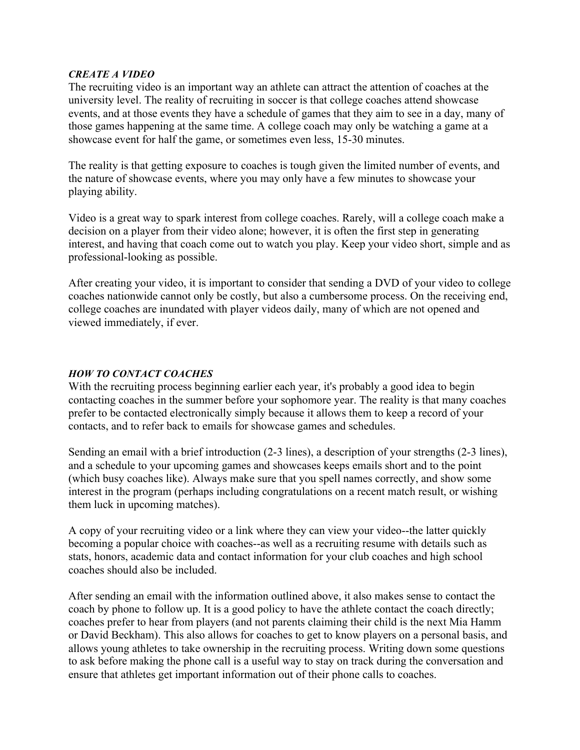#### *CREATE A VIDEO*

The recruiting video is an important way an athlete can attract the attention of coaches at the university level. The reality of recruiting in soccer is that college coaches attend showcase events, and at those events they have a schedule of games that they aim to see in a day, many of those games happening at the same time. A college coach may only be watching a game at a showcase event for half the game, or sometimes even less, 15-30 minutes.

The reality is that getting exposure to coaches is tough given the limited number of events, and the nature of showcase events, where you may only have a few minutes to showcase your playing ability.

Video is a great way to spark interest from college coaches. Rarely, will a college coach make a decision on a player from their video alone; however, it is often the first step in generating interest, and having that coach come out to watch you play. Keep your video short, simple and as professional-looking as possible.

After creating your video, it is important to consider that sending a DVD of your video to college coaches nationwide cannot only be costly, but also a cumbersome process. On the receiving end, college coaches are inundated with player videos daily, many of which are not opened and viewed immediately, if ever.

#### *HOW TO CONTACT COACHES*

With the recruiting process beginning earlier each year, it's probably a good idea to begin contacting coaches in the summer before your sophomore year. The reality is that many coaches prefer to be contacted electronically simply because it allows them to keep a record of your contacts, and to refer back to emails for showcase games and schedules.

Sending an email with a brief introduction (2-3 lines), a description of your strengths (2-3 lines), and a schedule to your upcoming games and showcases keeps emails short and to the point (which busy coaches like). Always make sure that you spell names correctly, and show some interest in the program (perhaps including congratulations on a recent match result, or wishing them luck in upcoming matches).

A copy of your recruiting video or a link where they can view your video--the latter quickly becoming a popular choice with coaches--as well as a recruiting resume with details such as stats, honors, academic data and contact information for your club coaches and high school coaches should also be included.

After sending an email with the information outlined above, it also makes sense to contact the coach by phone to follow up. It is a good policy to have the athlete contact the coach directly; coaches prefer to hear from players (and not parents claiming their child is the next Mia Hamm or David Beckham). This also allows for coaches to get to know players on a personal basis, and allows young athletes to take ownership in the recruiting process. Writing down some questions to ask before making the phone call is a useful way to stay on track during the conversation and ensure that athletes get important information out of their phone calls to coaches.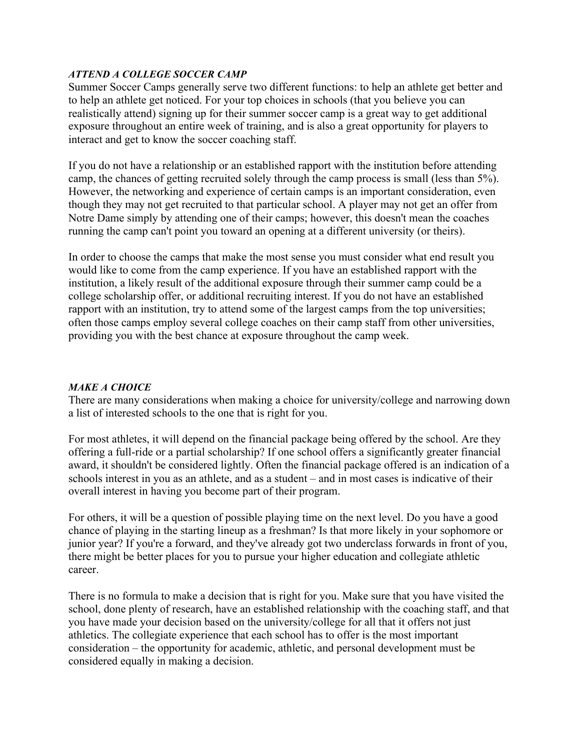### *ATTEND A COLLEGE SOCCER CAMP*

Summer Soccer Camps generally serve two different functions: to help an athlete get better and to help an athlete get noticed. For your top choices in schools (that you believe you can realistically attend) signing up for their summer soccer camp is a great way to get additional exposure throughout an entire week of training, and is also a great opportunity for players to interact and get to know the soccer coaching staff.

If you do not have a relationship or an established rapport with the institution before attending camp, the chances of getting recruited solely through the camp process is small (less than 5%). However, the networking and experience of certain camps is an important consideration, even though they may not get recruited to that particular school. A player may not get an offer from Notre Dame simply by attending one of their camps; however, this doesn't mean the coaches running the camp can't point you toward an opening at a different university (or theirs).

In order to choose the camps that make the most sense you must consider what end result you would like to come from the camp experience. If you have an established rapport with the institution, a likely result of the additional exposure through their summer camp could be a college scholarship offer, or additional recruiting interest. If you do not have an established rapport with an institution, try to attend some of the largest camps from the top universities; often those camps employ several college coaches on their camp staff from other universities, providing you with the best chance at exposure throughout the camp week.

## *MAKE A CHOICE*

There are many considerations when making a choice for university/college and narrowing down a list of interested schools to the one that is right for you.

For most athletes, it will depend on the financial package being offered by the school. Are they offering a full-ride or a partial scholarship? If one school offers a significantly greater financial award, it shouldn't be considered lightly. Often the financial package offered is an indication of a schools interest in you as an athlete, and as a student – and in most cases is indicative of their overall interest in having you become part of their program.

For others, it will be a question of possible playing time on the next level. Do you have a good chance of playing in the starting lineup as a freshman? Is that more likely in your sophomore or junior year? If you're a forward, and they've already got two underclass forwards in front of you, there might be better places for you to pursue your higher education and collegiate athletic career.

There is no formula to make a decision that is right for you. Make sure that you have visited the school, done plenty of research, have an established relationship with the coaching staff, and that you have made your decision based on the university/college for all that it offers not just athletics. The collegiate experience that each school has to offer is the most important consideration – the opportunity for academic, athletic, and personal development must be considered equally in making a decision.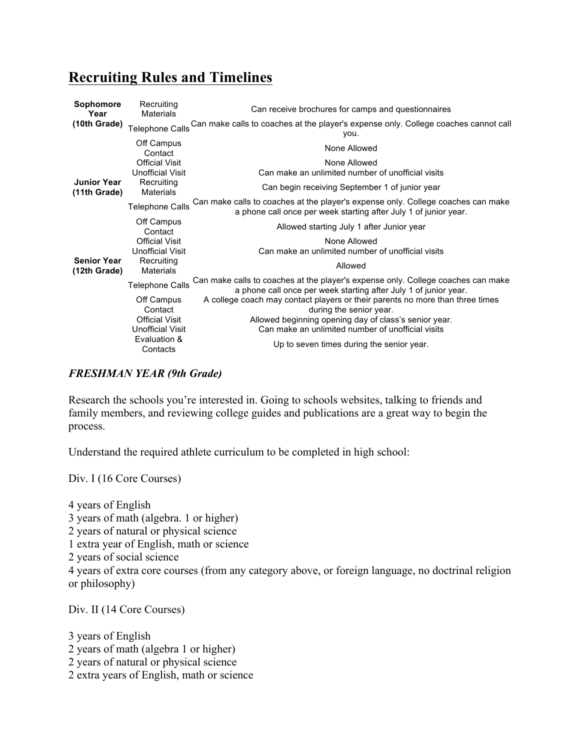## **Recruiting Rules and Timelines**

| <b>Sophomore</b><br>Year           | Recruiting<br><b>Materials</b>                   | Can receive brochures for camps and questionnaires                                                                                                   |
|------------------------------------|--------------------------------------------------|------------------------------------------------------------------------------------------------------------------------------------------------------|
| (10th Grade)                       | <b>Telephone Calls</b>                           | Can make calls to coaches at the player's expense only. College coaches cannot call<br>you.                                                          |
|                                    | Off Campus<br>Contact                            | None Allowed                                                                                                                                         |
|                                    | <b>Official Visit</b><br><b>Unofficial Visit</b> | None Allowed<br>Can make an unlimited number of unofficial visits                                                                                    |
| <b>Junior Year</b><br>(11th Grade) | Recruiting<br><b>Materials</b>                   | Can begin receiving September 1 of junior year                                                                                                       |
|                                    | <b>Telephone Calls</b>                           | Can make calls to coaches at the player's expense only. College coaches can make<br>a phone call once per week starting after July 1 of junior year. |
|                                    | Off Campus<br>Contact                            | Allowed starting July 1 after Junior year                                                                                                            |
|                                    | <b>Official Visit</b><br><b>Unofficial Visit</b> | None Allowed<br>Can make an unlimited number of unofficial visits                                                                                    |
| <b>Senior Year</b><br>(12th Grade) | Recruiting<br><b>Materials</b>                   | Allowed                                                                                                                                              |
|                                    | <b>Telephone Calls</b>                           | Can make calls to coaches at the player's expense only. College coaches can make<br>a phone call once per week starting after July 1 of junior year. |
|                                    | Off Campus<br>Contact                            | A college coach may contact players or their parents no more than three times<br>during the senior year.                                             |
|                                    | <b>Official Visit</b><br><b>Unofficial Visit</b> | Allowed beginning opening day of class's senior year.<br>Can make an unlimited number of unofficial visits                                           |
|                                    | Evaluation &<br>Contacts                         | Up to seven times during the senior year.                                                                                                            |

### *FRESHMAN YEAR (9th Grade)*

Research the schools you're interested in. Going to schools websites, talking to friends and family members, and reviewing college guides and publications are a great way to begin the process.

Understand the required athlete curriculum to be completed in high school:

Div. I (16 Core Courses)

4 years of English 3 years of math (algebra. 1 or higher) 2 years of natural or physical science 1 extra year of English, math or science 2 years of social science 4 years of extra core courses (from any category above, or foreign language, no doctrinal religion or philosophy)

Div. II (14 Core Courses)

3 years of English 2 years of math (algebra 1 or higher) 2 years of natural or physical science 2 extra years of English, math or science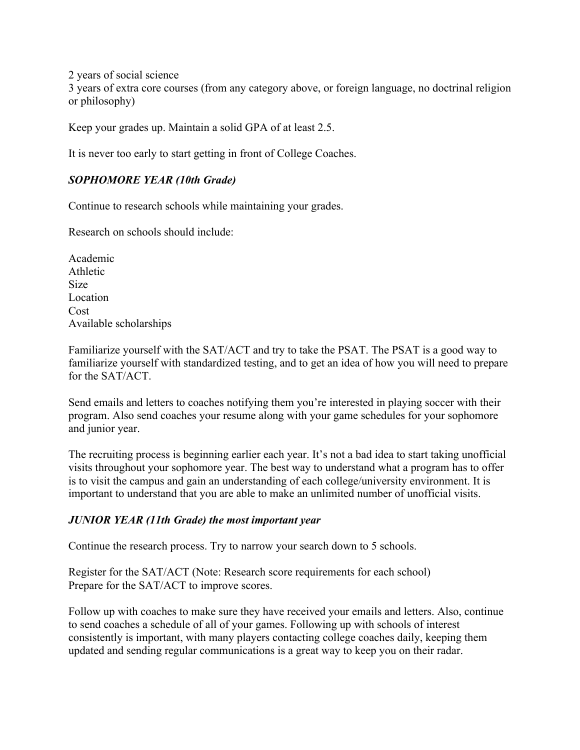2 years of social science

3 years of extra core courses (from any category above, or foreign language, no doctrinal religion or philosophy)

Keep your grades up. Maintain a solid GPA of at least 2.5.

It is never too early to start getting in front of College Coaches.

## *SOPHOMORE YEAR (10th Grade)*

Continue to research schools while maintaining your grades.

Research on schools should include:

Academic Athletic Size Location Cost Available scholarships

Familiarize yourself with the SAT/ACT and try to take the PSAT. The PSAT is a good way to familiarize yourself with standardized testing, and to get an idea of how you will need to prepare for the SAT/ACT.

Send emails and letters to coaches notifying them you're interested in playing soccer with their program. Also send coaches your resume along with your game schedules for your sophomore and junior year.

The recruiting process is beginning earlier each year. It's not a bad idea to start taking unofficial visits throughout your sophomore year. The best way to understand what a program has to offer is to visit the campus and gain an understanding of each college/university environment. It is important to understand that you are able to make an unlimited number of unofficial visits.

## *JUNIOR YEAR (11th Grade) the most important year*

Continue the research process. Try to narrow your search down to 5 schools.

Register for the SAT/ACT (Note: Research score requirements for each school) Prepare for the SAT/ACT to improve scores.

Follow up with coaches to make sure they have received your emails and letters. Also, continue to send coaches a schedule of all of your games. Following up with schools of interest consistently is important, with many players contacting college coaches daily, keeping them updated and sending regular communications is a great way to keep you on their radar.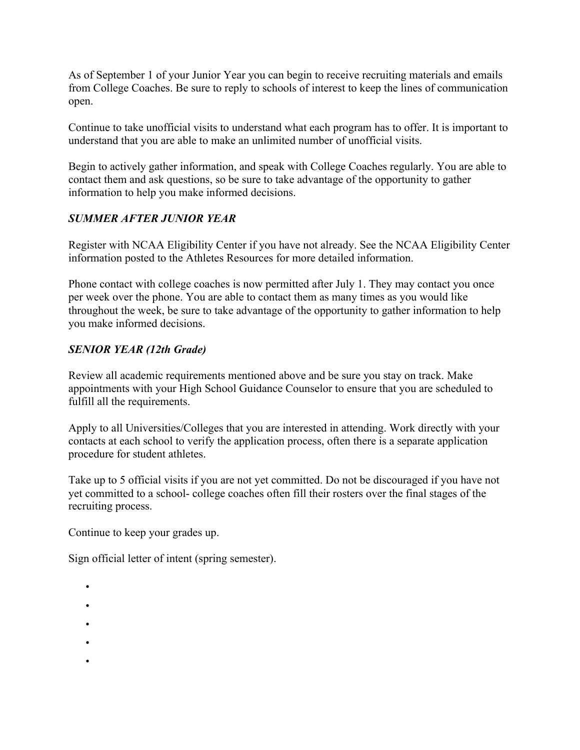As of September 1 of your Junior Year you can begin to receive recruiting materials and emails from College Coaches. Be sure to reply to schools of interest to keep the lines of communication open.

Continue to take unofficial visits to understand what each program has to offer. It is important to understand that you are able to make an unlimited number of unofficial visits.

Begin to actively gather information, and speak with College Coaches regularly. You are able to contact them and ask questions, so be sure to take advantage of the opportunity to gather information to help you make informed decisions.

## *SUMMER AFTER JUNIOR YEAR*

Register with NCAA Eligibility Center if you have not already. See the NCAA Eligibility Center information posted to the Athletes Resources for more detailed information.

Phone contact with college coaches is now permitted after July 1. They may contact you once per week over the phone. You are able to contact them as many times as you would like throughout the week, be sure to take advantage of the opportunity to gather information to help you make informed decisions.

## *SENIOR YEAR (12th Grade)*

Review all academic requirements mentioned above and be sure you stay on track. Make appointments with your High School Guidance Counselor to ensure that you are scheduled to fulfill all the requirements.

Apply to all Universities/Colleges that you are interested in attending. Work directly with your contacts at each school to verify the application process, often there is a separate application procedure for student athletes.

Take up to 5 official visits if you are not yet committed. Do not be discouraged if you have not yet committed to a school- college coaches often fill their rosters over the final stages of the recruiting process.

Continue to keep your grades up.

Sign official letter of intent (spring semester).

- •
- -
- •
- •
- •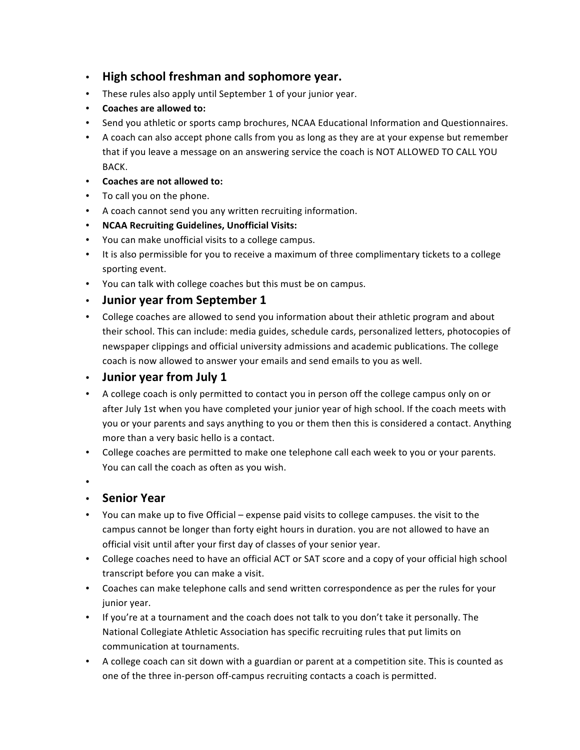- **High school freshman and sophomore year.**
- These rules also apply until September 1 of your junior year.
- Coaches are allowed to:
- Send you athletic or sports camp brochures, NCAA Educational Information and Questionnaires.
- A coach can also accept phone calls from you as long as they are at your expense but remember that if you leave a message on an answering service the coach is NOT ALLOWED TO CALL YOU BACK.
- Coaches are not allowed to:
- To call you on the phone.
- A coach cannot send you any written recruiting information.
- **NCAA Recruiting Guidelines, Unofficial Visits:**
- You can make unofficial visits to a college campus.
- It is also permissible for you to receive a maximum of three complimentary tickets to a college sporting event.
- You can talk with college coaches but this must be on campus.
- **Junior year from September 1**
- College coaches are allowed to send you information about their athletic program and about their school. This can include: media guides, schedule cards, personalized letters, photocopies of newspaper clippings and official university admissions and academic publications. The college coach is now allowed to answer your emails and send emails to you as well.

## • **Junior year from July 1**

- A college coach is only permitted to contact you in person off the college campus only on or after July 1st when you have completed your junior year of high school. If the coach meets with you or your parents and says anything to you or them then this is considered a contact. Anything more than a very basic hello is a contact.
- College coaches are permitted to make one telephone call each week to you or your parents. You can call the coach as often as you wish.
- •

## • **Senior Year**

- You can make up to five Official expense paid visits to college campuses. the visit to the campus cannot be longer than forty eight hours in duration. you are not allowed to have an official visit until after your first day of classes of your senior year.
- College coaches need to have an official ACT or SAT score and a copy of your official high school transcript before you can make a visit.
- Coaches can make telephone calls and send written correspondence as per the rules for your junior year.
- If you're at a tournament and the coach does not talk to you don't take it personally. The National Collegiate Athletic Association has specific recruiting rules that put limits on communication at tournaments.
- A college coach can sit down with a guardian or parent at a competition site. This is counted as one of the three in-person off-campus recruiting contacts a coach is permitted.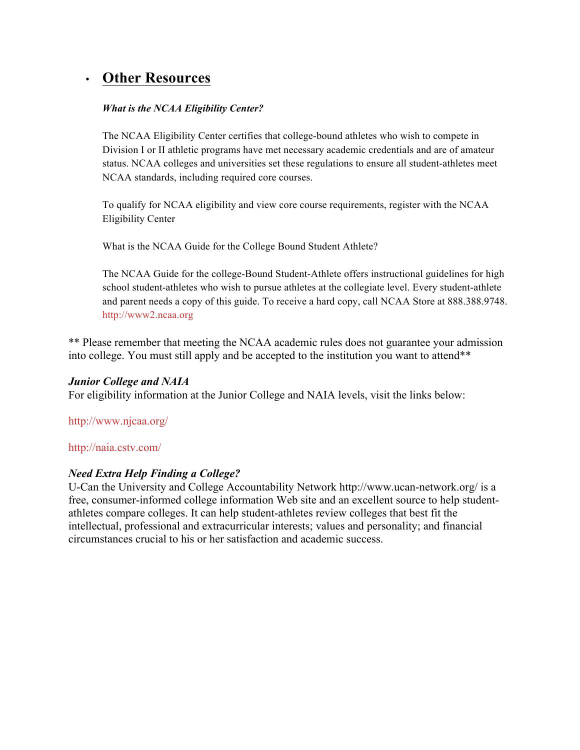# • **Other Resources**

#### *What is the NCAA Eligibility Center?*

The NCAA Eligibility Center certifies that college-bound athletes who wish to compete in Division I or II athletic programs have met necessary academic credentials and are of amateur status. NCAA colleges and universities set these regulations to ensure all student-athletes meet NCAA standards, including required core courses.

To qualify for NCAA eligibility and view core course requirements, register with the NCAA Eligibility Center

What is the NCAA Guide for the College Bound Student Athlete?

The NCAA Guide for the college-Bound Student-Athlete offers instructional guidelines for high school student-athletes who wish to pursue athletes at the collegiate level. Every student-athlete and parent needs a copy of this guide. To receive a hard copy, call NCAA Store at 888.388.9748. http://www2.ncaa.org

\*\* Please remember that meeting the NCAA academic rules does not guarantee your admission into college. You must still apply and be accepted to the institution you want to attend\*\*

### *Junior College and NAIA*

For eligibility information at the Junior College and NAIA levels, visit the links below:

### http://www.njcaa.org/

#### http://naia.cstv.com/

### *Need Extra Help Finding a College?*

U-Can the University and College Accountability Network http://www.ucan-network.org/ is a free, consumer-informed college information Web site and an excellent source to help studentathletes compare colleges. It can help student-athletes review colleges that best fit the intellectual, professional and extracurricular interests; values and personality; and financial circumstances crucial to his or her satisfaction and academic success.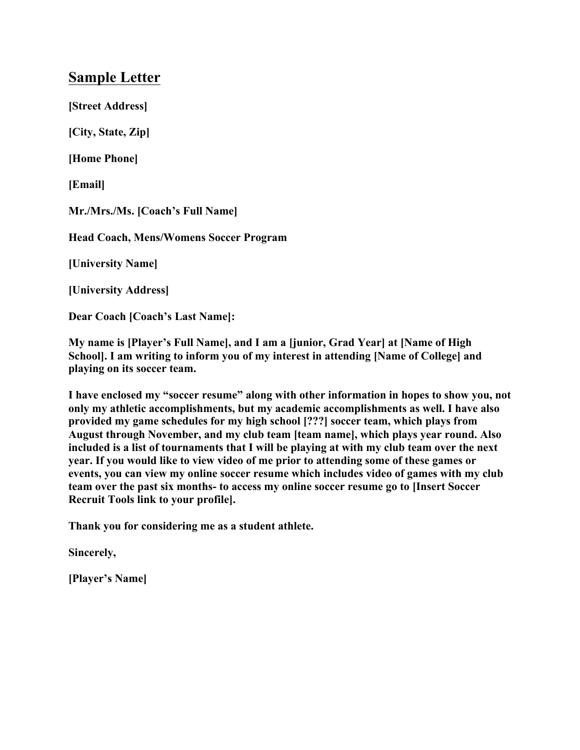## **Sample Letter**

**[Street Address]**

**[City, State, Zip]**

**[Home Phone]**

**[Email]**

**Mr./Mrs./Ms. [Coach's Full Name]**

**Head Coach, Mens/Womens Soccer Program**

**[University Name]**

**[University Address]**

**Dear Coach [Coach's Last Name]:**

**My name is [Player's Full Name], and I am a [junior, Grad Year] at [Name of High School]. I am writing to inform you of my interest in attending [Name of College] and playing on its soccer team.**

**I have enclosed my "soccer resume" along with other information in hopes to show you, not only my athletic accomplishments, but my academic accomplishments as well. I have also provided my game schedules for my high school [???] soccer team, which plays from August through November, and my club team [team name], which plays year round. Also included is a list of tournaments that I will be playing at with my club team over the next year. If you would like to view video of me prior to attending some of these games or events, you can view my online soccer resume which includes video of games with my club team over the past six months- to access my online soccer resume go to [Insert Soccer Recruit Tools link to your profile].** 

**Thank you for considering me as a student athlete.**

**Sincerely,**

**[Player's Name]**